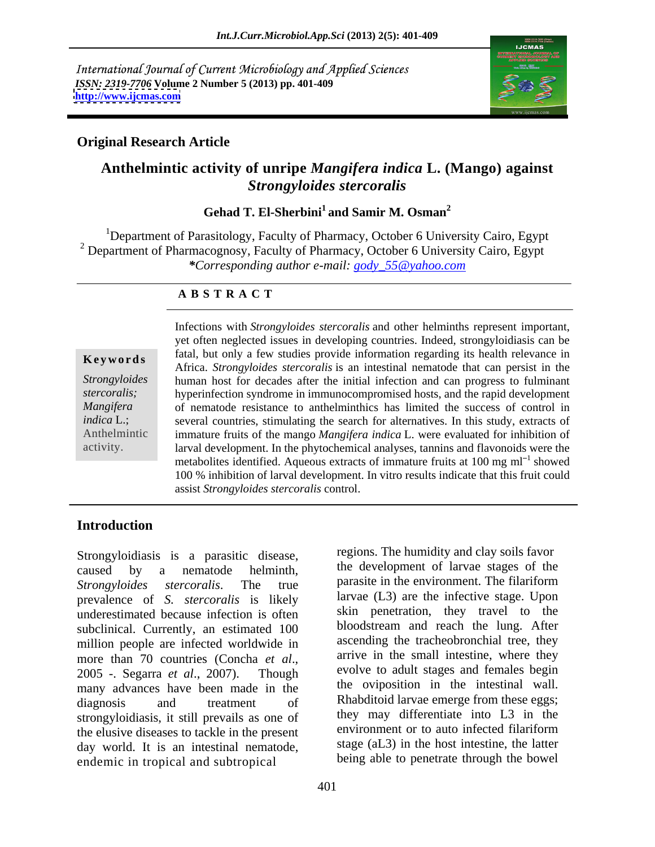International Journal of Current Microbiology and Applied Sciences *ISSN: 2319-7706* **Volume 2 Number 5 (2013) pp. 401-409 <http://www.ijcmas.com>**



### **Original Research Article**

# **Anthelmintic activity of unripe** *Mangifera indica* **L. (Mango) against** *Strongyloides stercoralis*

### **Gehad T. El-Sherbini<sup>1</sup> and Samir M. Osman<sup>2</sup>**

<sup>1</sup>Department of Parasitology, Faculty of Pharmacy, October 6 University Cairo, Egypt <sup>2</sup> Department of Pharmacognosy, Faculty of Pharmacy, October 6 University Cairo, Egypt *\*Corresponding author e-mail: gody\_55@yahoo.com*

### **A B S T R A C T**

**Keywords** and *results are strongyloides stercoralis* is an intestinal nematode that can persist in the Africa. *Strongyloides stercoralis* is an intestinal nematode that can persist in the *Strongyloides* human host for decades after the initial infection and can progress to fulminant *stercoralis;* hyperinfection syndrome in immunocompromised hosts, and the rapid development *Mangifera* of nematode resistance to anthelminthics has limited the success of control in *indica* L.; several countries, stimulating the search for alternatives. In this study, extracts of Anthelmintic immature fruits of the mango *Mangifera indica* L. were evaluated for inhibition of Infections with *Strongyloides stercoralis* and other helminths represent important,<br>
yet often neglected issues in developing countries. Indeed, strongyloidasis can be<br>
fatal, but only a few studies provide information re fatal, but only a few studies provide information regarding its health relevance in larval development. In the phytochemical analyses, tannins and flavonoids were the metabolites identified. Aqueous extracts of immature fruits at  $100 \text{ mg ml}^{-1}$  showed showed 100 % inhibition of larval development. In vitro results indicate that this fruit could assist *Strongyloides stercoralis* control.

## **Introduction**

Strongyloidiasis is a parasitic disease, caused by a nematode helminth, the development of larvae stages of the *Strongyloides stercoralis*. The true parasite in the environment. The filariform prevalence of *S. stercoralis* is likely underestimated because infection is often subclinical. Currently, an estimated 100 million people are infected worldwide in more than 70 countries (Concha *et al.*, arrive in the small intestine, where they<br>2005 - Segarra *et al.*, 2007). Though evolve to adult stages and females begin many advances have been made in the diagnosis and treatment of Rhabditoid larvae emerge from these eggs; strongyloidiasis, it still prevails as one of the may differentiate into L3 in the the elusive diseases to tackle in the present environment or to auto infected filariform the elusive diseases to tackle in the present day world. It is an intestinal nematode, endemic in tropical and subtropical

regions. The humidity and clay soils favor parasite in the environment. The filariform larvae (L3) are the infective stage. Upon skin penetration, they travel to the bloodstream and reach the lung. After ascending the tracheobronchial tree, they arrive in the small intestine, where they evolve to adult stages and females begin the oviposition in the intestinal wall. they may differentiate into L3 in the environment or to auto infected filariform stage (aL3) in the host intestine, the latter being able to penetrate through the bowel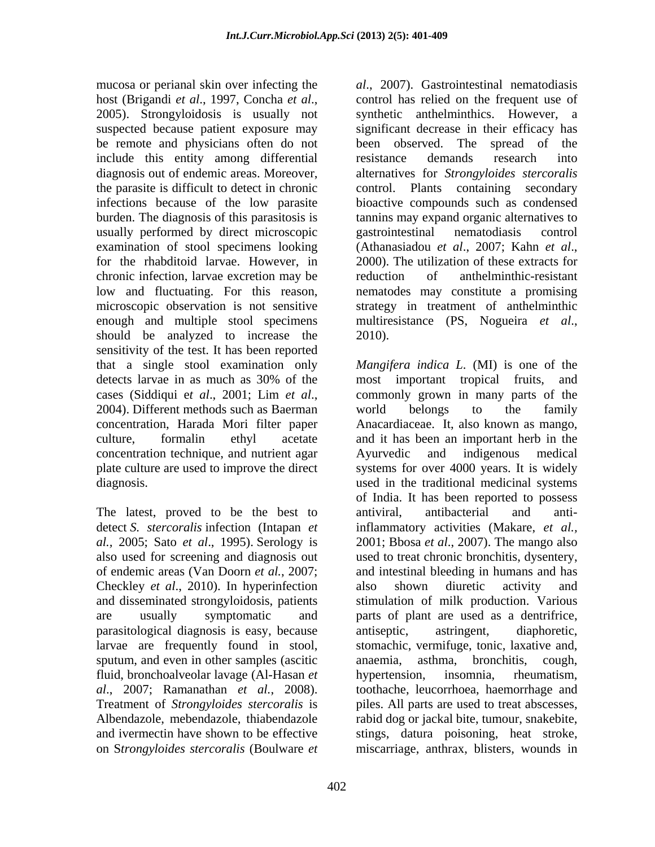mucosa or perianal skin over infecting the host (Brigandi *et al.*, 1997, Concha *et al.*, control has relied on the frequent use of 2005). Strongyloidosis is usually not synthetic anthelminthics. However, a suspected because patient exposure may significant decrease in their efficacy has be remote and physicians often do not include this entity among differential diagnosis out of endemic areas. Moreover, alternatives for *Strongyloides stercoralis* the parasite is difficult to detect in chronic control. Plants containing secondary infections because of the low parasite bioactive compounds such as condensed burden. The diagnosis of this parasitosis is tannins may expand organic alternatives to usually performed by direct microscopic gastrointestinal nematodiasis control examination of stool specimens looking (Athanasiadou et al., 2007; Kahn et al., for the rhabditoid larvae. However, in 2000). The utilization of these extracts for chronic infection, larvae excretion may be reduction of anthelminthic-resistant low and fluctuating. For this reason, nematodes may constitute a promising microscopic observation is not sensitive strategy in treatment of anthelminthic enough and multiple stool specimens multiresistance (PS, Nogueira *et al.*, should be analyzed to increase the 2010). sensitivity of the test. It has been reported concentration technique, and nutrient agar

The latest, proved to be the best to antiviral, antibacterial and antidetect *S. stercoralis* infection (Intapan *et*  Checkley *et al.*, 2010). In hyperinfection also shown diuretic activity and parasitological diagnosis is easy, because sputum, and even in other samples (ascitic anaemia, asthma, bronchitis, cough, fluid, bronchoalveolar lavage (Al-Hasan *et al*., 2007; Ramanathan *et al.*, 2008). on S*trongyloides stercoralis* (Boulware *et*  miscarriage, anthrax, blisters, wounds in

*al*., 2007). Gastrointestinal nematodiasis control has relied on the frequent use of synthetic anthelminthics. However, a been observed. The spread of the resistance demands research into gastrointestinal nematodiasis control (Athanasiadou *et al*., 2007; Kahn *et al*., 2000). The utilization of these extracts for reduction of anthelminthic-resistant multiresistance (PS, Nogueira *et al*., 2010).

that a single stool examination only *Mangifera indica L*. (MI) is one of the detects larvae in as much as 30% of the most important tropical fruits, and cases (Siddiqui e*<sup>t</sup> al*., 2001; Lim *et al*., 2004). Different methods such as Baerman concentration, Harada Mori filter paper Anacardiaceae. It, also known as mango, culture, formalin ethyl acetate and it has been an important herb in the plate culture are used to improve the direct systems for over 4000 years. It is widely diagnosis. used in the traditional medicinal systems *al.*, 2005; Sato *et al.*, 1995). Serology is 2001; Bbosa *et al.*, 2007). The mango also also used for screening and diagnosis out used to treat chronic bronchitis, dysentery, of endemic areas (Van Doorn *et al.*, 2007; and intestinal bleeding in humans and has and disseminated strongyloidosis, patients stimulation of milk production. Various are usually symptomatic and parts of plant are used as a dentrifrice, larvae are frequently found in stool, stomachic, vermifuge, tonic, laxative and, Treatment of *Strongyloides stercoralis* is piles. All parts are used to treat abscesses, Albendazole, mebendazole, thiabendazole rabid dog or jackal bite, tumour, snakebite, and ivermectin have shown to be effective stings, datura poisoning, heat stroke, most important tropical fruits, and commonly grown in many parts of the world belongs to the family Ayurvedic and indigenous medical of India. It has been reported to possess antiviral, antibacterial and antiinflammatory activities (Makare, *et al.,* also shown diuretic activity and antiseptic, astringent, diaphoretic, anaemia, asthma, bronchitis, cough, hypertension, insomnia, rheumatism, toothache, leucorrhoea, haemorrhage and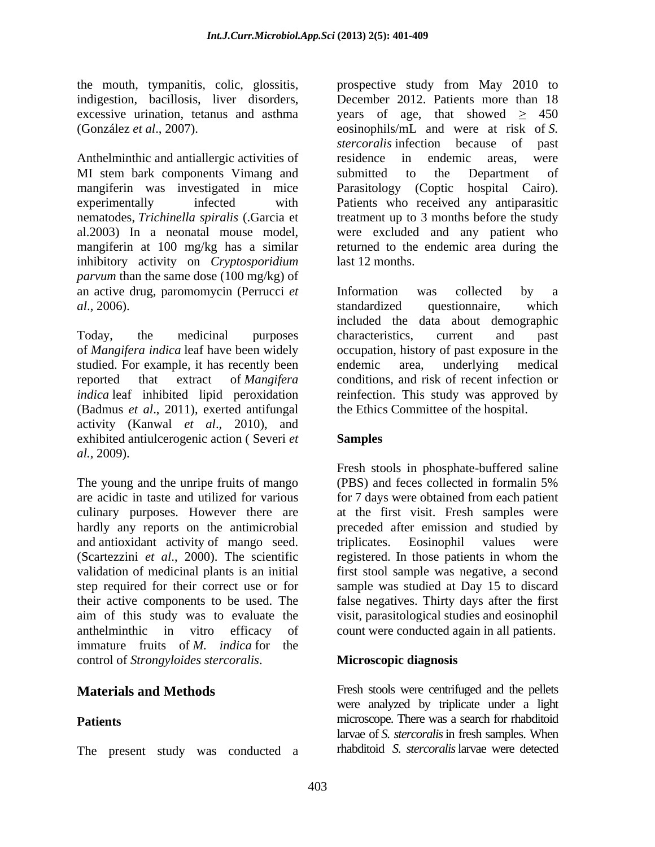Anthelminthic and antiallergic activities of residence in endemic areas, were MI stem bark components Vimang and submitted to the Department of mangiferin was investigated in mice Parasitology (Coptic hospital Cairo). experimentally infected with Patients who received any antiparasitic nematodes, *Trichinella spiralis* (.Garcia et treatment up to 3 months before the study al.2003) In a neonatal mouse model, were excluded and any patient who mangiferin at 100 mg/kg has a similar strumed to the endemic area during the inhibitory activity on *Cryptosporidium parvum* than the same dose (100 mg/kg) of an active drug, paromomycin (Perrucci *et* **Information** was collected by a *al*., 2006). Standardized questionnaire, which

Today, the medicinal purposes characteristics, current and past of *Mangifera indica* leaf have been widely occupation, history of past exposure in the studied. For example, it has recently been endemic area, underlying medical reported that extract of *Mangifera*  conditions, and risk of recent infection or *indica* leaf inhibited lipid peroxidation reinfection. This study was approved by (Badmus *et al*., 2011), exerted antifungal activity (Kanwal *et al*., 2010), and exhibited antiulcerogenic action ( Severi *et al.,* 2009).

The young and the unripe fruits of mango (PBS) and feces collected in formal in 5% are acidic in taste and utilized for various for 7 days were obtained from each patient culinary purposes. However there are at the first visit. Fresh samples were hardly any reports on the antimicrobial and antioxidant activity of mango seed. (Scartezzini *et al*., 2000). The scientific registered. In those patients in whom the validation of medicinal plants is an initial first stool sample was negative, a second step required for their correct use or for sample was studied at Day 15 to discard their active components to be used. The false negatives. Thirty days after the first aim of this study was to evaluate the visit, parasitological studies and eosinophil anthelminthic in vitro efficacy of count were conducted again in all patients. immature fruits of *M. indica* for the control of *Strongyloides stercoralis*.

The present study was conducted a

the mouth, tympanitis, colic, glossitis, prospective study from May 2010 to indigestion, bacillosis, liver disorders, December 2012. Patients more than 18 excessive urination, tetanus and asthma years of age, that showed  $\geq$  450 (González *et al*., 2007). eosinophils/mL and were at risk of *S. stercoralis* infection because of past residence in endemic areas, were submitted to the Department of last 12 months.

> Information was collected by a standardized questionnaire, which included the data about demographic characteristics, current and past endemic area, underlying medical the Ethics Committee of the hospital.

## **Samples**

Fresh stools in phosphate-buffered saline (PBS) and feces collected in formalin 5% preceded after emission and studied by triplicates. Eosinophil values were

### **Microscopic diagnosis**

**Materials and Methods** Fresh stools were centrifuged and the pellets **Patients example 3** microscope. There was a search for rhabditoid were analyzed by triplicate under a light larvae of *S. stercoralis*in fresh samples. When rhabditoid *S. stercoralis*larvae were detected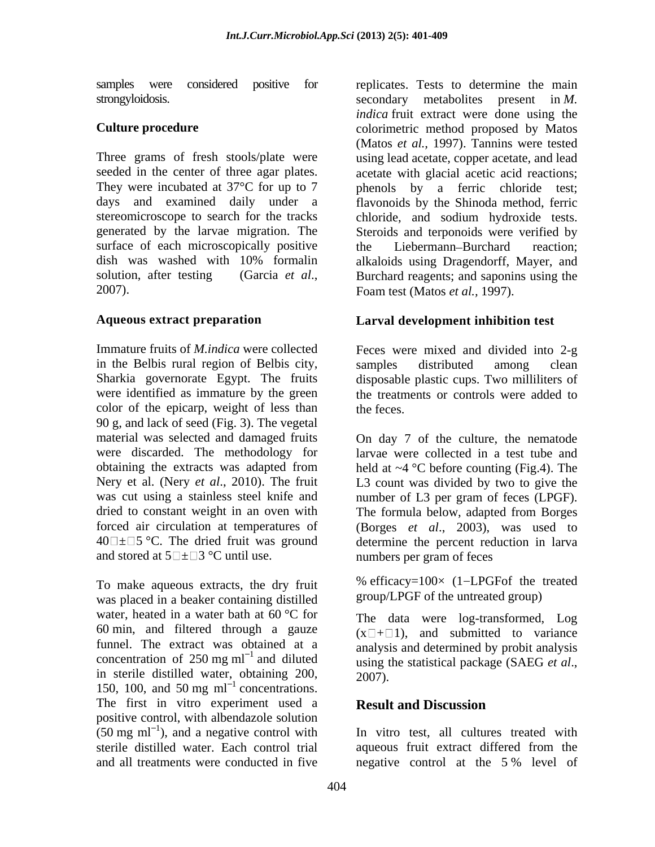surface of each microscopically positive the Liebermann-Burchard reaction:

Immature fruits of *M.indica* were collected Feces were mixed and divided into 2-g in the Belbis rural region of Belbis city, Sharkia governorate Egypt. The fruits disposable plastic cups. Two milliliters of were identified as immature by the green the treatments or controls were added to color of the epicarp, weight of less than the feces. 90 g, and lack of seed (Fig. 3). The vegetal material was selected and damaged fruits were discarded. The methodology for dried to constant weight in an oven with The formula below, adapted from Borges and stored at  $5 \rightarrow \rightarrow$  3 °C until use.

To make aqueous extracts, the dry fruit was placed in a beaker containing distilled water, heated in a water bath at 60 °C for The data were log-transformed, Log 60 min, and filtered through a gauze funnel. The extract was obtained at a concentration of  $250 \text{ mg ml}^{-1}$  and diluted in sterile distilled water, obtaining 200,  $2007$ . 150, 100, and 50 mg  $ml^{-1}$  concentrations. The first in vitro experiment used a **Result and Discussion** positive control, with albendazole solution  $(50 \text{ mg ml}^{-1})$ , and a negative control with

samples were considered positive for replicates. Tests to determine the main strongyloidosis. secondary metabolites present in *M*. **Culture procedure** colorimetric method proposed by Matos Three grams of fresh stools/plate were using lead acetate, copper acetate, and lead seeded in the center of three agar plates. <br>acetate with glacial acetic acid reactions; They were incubated at  $37^{\circ}$ C for up to 7 phenols by a ferric chloride test; days and examined daily under a flavonoids by the Shinoda method, ferric stereomicroscope to search for the tracks chloride, and sodium hydroxide tests. generated by the larvae migration. The Steroids and terponoids were verified by dish was washed with 10% formalin solution, after testing (Garcia *et al.*, Burchard reagents; and saponins using the Foam test (Matos *et al.*, 1997). *indica* fruit extract were done using the (Matos *et al.,* 1997). Tannins were tested the Liebermann Burchard reaction; alkaloids using Dragendorff, Mayer, and Burchard reagents; and saponins using the Foam test (Matos *et al.,* 1997).

## **Aqueous extract preparation Larval development inhibition test**

samples distributed among clean the feces.

obtaining the extracts was adapted from held at ~4 °C before counting (Fig.4). The Nery et al. (Nery *et al.*, 2010). The fruit L3 count was divided by two to give the was cut using a stainless steel knife and mumber of L3 per gram of feces (LPGF). forced air circulation at temperatures of (Borges *et al*., 2003), was used to  $40\degree\pm\degree$  The dried fruit was ground determine the percent reduction in larva On day 7 of the culture, the nematode larvae were collected in a test tube and The formula below, adapted from Borges numbers per gram of feces

> % efficacy= $100 \times (1 - LPGF of the treated$ group/LPGF of the untreated group)

using the statistical package (SAEG et al.,  $(x \Box + \Box 1)$ , and submitted to variance analysis and determined by probit analysis using the statistical package (SAEG *et al*., 2007).

## **Result and Discussion**

), and a negative control with In vitro test, all cultures treated with sterile distilled water. Each control trial aqueous fruit extract differed from the and all treatments were conducted in five negative control at the 5 % level of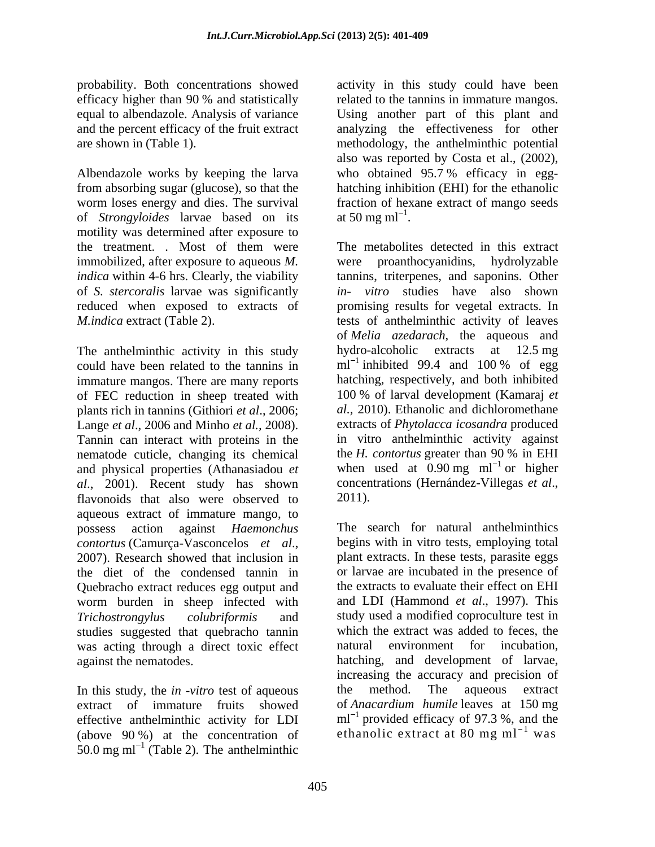from absorbing sugar (glucose), so that the hatching inhibition (EHI) for the ethanolic worm loses energy and dies. The survival fraction of hexane extract of mango seeds of *Strongyloides* larvae based on its motility was determined after exposure to the treatment. *.* Most of them were immobilized, after exposure to aqueous *M.* of *S. stercoralis* larvae was significantly

The anthelminthic activity in this study could have been related to the tannins in  $\text{ml}^{-1}$  inhibited 99.4 and 100 % of egg immature mangos. There are many reports of FEC reduction in sheep treated with plants rich in tannins (Githiori *et al*., 2006; Lange *et al*., 2006 and Minho *et al.,* 2008). Tannin can interact with proteins in the  $\frac{1}{2}$  in vitro anthelminthic activity against nematode cuticle, changing its chemical the *H. contortus* greater than 90 % in EHI nematode cuticle, changing its chemical and physical properties (Athanasiadou *et al*., 2001). Recent study has shown flavonoids that also were observed to 2011). aqueous extract of immature mango, to possess action against *Haemonchus* The search for natural anthelminthics *contortus* (Camurça-Vasconcelos *et al*., 2007). Research showed that inclusion in the diet of the condensed tannin in Quebracho extract reduces egg output and worm burden in sheep infected with *Trichostrongylus colubriformis* and study used a modified coproculture test in studies suggested that quebracho tannin was acting through a direct toxic effect against the nematodes. hatching, and development of larvae,

In this study, the *in -vitro* test of aqueous the method. The aqueous extract effective anthelminthic activity for LDI (above 90 %) at the concentration of  $50.0$  mg ml<sup>-1</sup> (Table 2). The anthelminthic

probability. Both concentrations showed activity in this study could have been efficacy higher than 90 % and statistically related to the tannins in immature mangos. equal to albendazole. Analysis of variance Using another part of this plant and and the percent efficacy of the fruit extract analyzing the effectiveness for other are shown in (Table 1). The methodology, the anthelministic potential<br>also was reported by Costa et al., (2002),<br>Albendazole works by keeping the larva who obtained 95.7% efficacy in eggrelated to the tannins in immature mangos. methodology, the anthelminthic potential also was reported by Costa et al., (2002), who obtained 95.7 % efficacy in egg at 50 mg m $\text{m}^{-1}$ .

*indica* within 4-6 hrs. Clearly, the viability tannins, triterpenes, and saponins. Other reduced when exposed to extracts of promising results for vegetal extracts. In *M.indica* extract (Table 2). tests of anthelminthic activity of leaves at 50 mg m $I^{-1}$ .<br>The metabolites detected in this extract were proanthocyanidins, hydrolyzable *in- vitro* studies have also shown of *Melia azedarach*, the aqueous and hydro-alcoholic extracts at 12.5 mg inhibited 99.4 and 100 % of egg hatching, respectively, and both inhibited 100 % of larval development (Kamaraj *et al.,* 2010). Ethanolic and dichloromethane extracts of *Phytolacca icosandra* produced in vitro anthelminthic activity against the *H. contortus* greater than 90 % in EHI when used at  $0.90 \text{ mg} \text{ ml}^{-1}$  or higher or higher concentrations (Hernández-Villegas *et al*., 2011).

extract of immature fruits showed of *Anacardium humile* leaves at 150 mg begins with in vitro tests, employing total plant extracts. In these tests, parasite eggs or larvae are incubated in the presence of the extracts to evaluate their effect on EHI and LDI (Hammond *et al*., 1997). This which the extract was added to feces, the natural environment for incubation, increasing the accuracy and precision of the method. The aqueous extract  $ml^{-1}$  provided efficacy of 97.3 %, and the ethanolic extract at 80 mg  $ml^{-1}$  was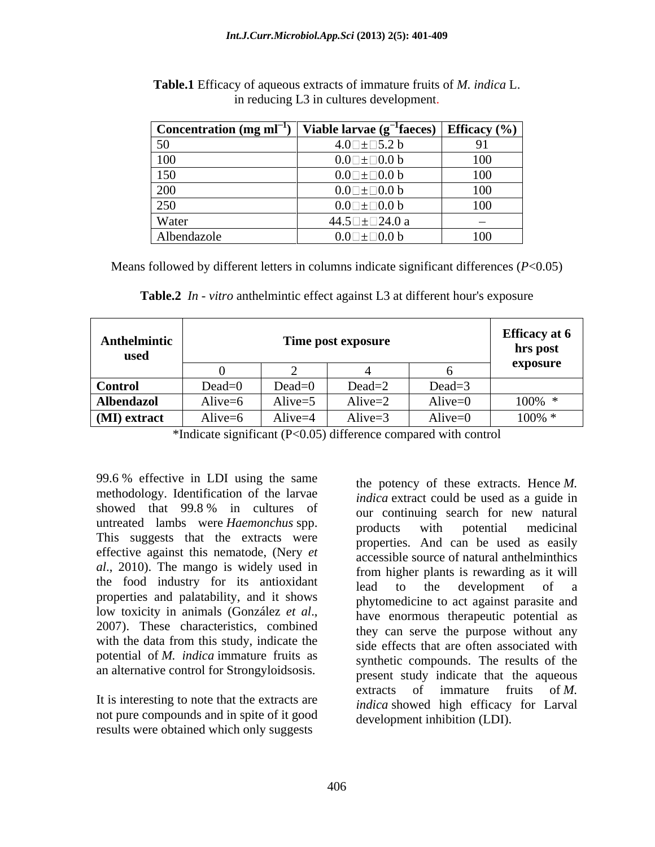| $\sim$ Concentration (mg m $\sim$ <sup>1</sup> ) | Viable larvae (g <sup>-1</sup> faeces)   Efficacy (%) |        |
|--------------------------------------------------|-------------------------------------------------------|--------|
| 50                                               | $4.0\square \pm \square 5.2 b$                        |        |
| 100                                              | $0.0$ $\pm$ $\Box$ 0.0 b                              | 100    |
| 150                                              | $0.0$ $\pm$ $\Box$ $0.0$ $\mathrm{b}$                 | 100    |
| 200                                              | $0.0$ $\pm$ $\Box$ $0.0$ $\mathrm{b}$                 | 100    |
| 250                                              | $0.0\square \pm \square 0.0~b$                        | 100    |
| Water                                            | 44.5 $\Box$ $\pm$ $\Box$ 24.0 a                       | $\sim$ |
| Albendazole                                      | $0.0\square \pm \square 0.0$ b                        | 100    |

| <b>Table.1</b> Efficacy of aqueous extracts of immature fruits of <i>M. indica</i> L.                                                                     |  |
|-----------------------------------------------------------------------------------------------------------------------------------------------------------|--|
| n reducing L3 in cultures development.<br>the contract of the contract of the contract of the contract of the contract of the contract of the contract of |  |

Means followed by different letters in columns indicate significant differences (*P*<0.05)

**Table.2** *In - vitro* anthelmintic effect against L3 at different hour's exposure

| Anthelmintic<br>used | Time post exposure     |            |            |            | <b>Efficacy</b> at 6<br>hrs post |
|----------------------|------------------------|------------|------------|------------|----------------------------------|
|                      |                        |            |            |            | exposure                         |
| <b>Control</b>       | $Dead=0$               | $Dead=0$   | $Dead=?$   | $Dead = 5$ |                                  |
| <b>Albendazol</b>    | Alive=6                | Alive= $5$ | Alive= $2$ | Alive= $0$ | 100%                             |
| (MI) extract         | $\cdots$<br>Alive= $6$ | Alive=4    | Alive= $3$ | Alive= $0$ | 100%                             |

\*Indicate significant (P<0.05) difference compared with control

99.6 % effective in LDI using the same methodology. Identification of the larvae untreated lambs were *Haemonchus* spp. products with potential medicinal This suggests that the extracts were effective against this nematode, (Nery *et al*., 2010). The mango is widely used in the food industry for its antioxidant lead to the development of a properties and palatability, and it shows with the data from this study, indicate the potential of *M. indica* immature fruits as an alternative control for Strongyloidsosis.

not pure compounds and in spite of it good results were obtained which only suggests

showed that  $99.8\%$  in cultures of  $\frac{1}{2}$  continuing search for new natural low toxicity in animals (González *et al.*,<br>2007). These characteristics, combined they can serve the purpose without any It is interesting to note that the extracts are extracts of immature indica showed high efficithe potency of these extracts. Hence *M. indica* extract could be used as a guide in our continuing search for new natural products with potential medicinal properties. And can be used as easily accessible source of natural anthelminthics from higher plants is rewarding as it will lead to the development of a phytomedicine to act against parasite and have enormous therapeutic potential as they can serve the purpose without any side effects that are often associated with synthetic compounds. The results of the present study indicate that the aqueous extracts of immature fruits of *M. indica* showed high efficacy for Larval development inhibition (LDI).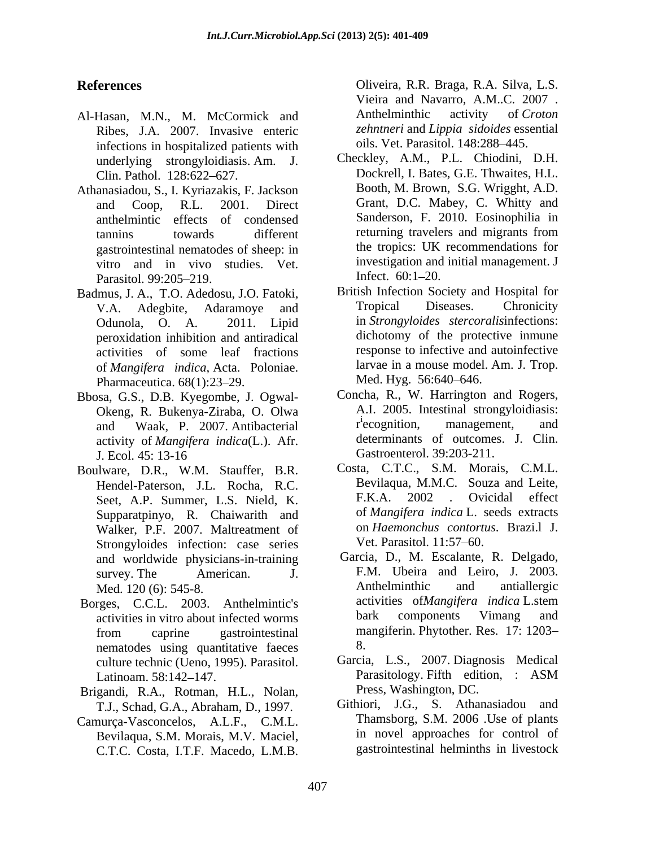- Al-Hasan, M.N., M. McCormick and Anthelminthic activity of Croton Ribes, J.A. 2007. Invasive enteric infections in hospitalized patients with underlying strongyloidiasis. Am. J.
- Athanasiadou, S., I. Kyriazakis, F. Jackson anthelmintic effects of condensed gastrointestinal nematodes of sheep: in vitro and in vivo studies. Vet. investigation and<br>Parasitol 99:205-219 Infect. 60:1-20.
- Badmus, J. A., T.O. Adedosu, J.O. Fatoki, British Infection Society and Hospital for<br>V.A. Adephite Adaramove and Tropical Diseases. Chronicity V.A. Adegbite, Adaramoye and peroxidation inhibition and antiradical activities of some leaf fractions of *Mangifera indica*, Acta. Poloniae. larvae in a mouse model<br>Pharmaceutica 68(1):23–29 Med. Hyg. 56:640–646. Pharmaceutica. 68(1):23-29.
- Bbosa, G.S., D.B. Kyegombe, J. Ogwal and Waak, P. 2007. Antibacterial activity of *Mangifera indica*(L.). Afr. J. Ecol. 45: 13-16 **Gastroenterol.** 39:203-211.
- Boulware, D.R., W.M. Stauffer, B.R. Seet, A.P. Summer, L.S. Nield, K. Supparatpinyo, R. Chaiwarith and Walker, P.F. 2007. Maltreatment of on *Haemonchus contorti*<br>Strongyloides infection: case series Vet. Parasitol. 11:57–60. Strongyloides infection: case series and worldwide physicians-in-training
- activities in vitro about infected worms nematodes using quantitative faeces 8. culture technic (Ueno, 1995). Parasitol.
- Brigandi, R.A., Rotman, H.L., Nolan, T.J., Schad, G.A., Abraham, D., 1997.
- Camurça-Vasconcelos, A.L.F., C.M.L. Bevilaqua, S.M. Morais, M.V. Maciel, C.T.C. Costa, I.T.F. Macedo, L.M.B.

**References** Oliveira, R.R. Braga, R.A. Silva, L.S. Vieira and Navarro, A.M..C. 2007 . Anthelminthic activity of *Croton zehntneri* and *Lippia sidoides* essential oils. Vet. Parasitol. 148:288 445.

- Clin. Pathol. 128:622–627. Dockrell, I. Bates, G.E. Thwaites, H.L. and Coop, R.L. 2001. Direct Grant, D.C. Mabey, C. Whitty and tannins towards different returning travelers and migrants from Parasitol. 99:205–219. Infect. 60:1–20. Checkley, A.M., P.L. Chiodini, D.H. Booth, M. Brown, S.G. Wrigght, A.D. Sanderson, F. 2010. Eosinophilia in returning travelers and migrants from the tropics: UK recommendations for investigation and initial management. J Infect.  $60:1-20$ .
- Odunola, O. A. 2011. Lipid in *Strongyloides stercoralis*infections: British Infection Society and Hospital for Tropical Diseases. Chronicity dichotomy of the protective inmune response to infective and autoinfective larvae in a mouse model. Am. J. Trop. Med. Hyg. 56:640–646.
- Okeng, R. Bukenya-Ziraba, O. Olwa A.I. 2005. Intestinal strongyloidiasis:<br>and Waak P 2007 Antibacterial recognition, management, and Concha, R., W. Harrington and Rogers, A.I. 2005. Intestinal strongyloidiasis: <sup>i</sup>ecognition, management, and determinants of outcomes. J. Clin. Gastroenterol. 39:203-211.
- Hendel-Paterson, J.L. Rocha, R.C. Bevilaqua, M.M.C. Souza and Leite,<br>
Seet A P Summer J S Nield K F.K.A. 2002 . Ovicidal effect Costa, C.T.C., S.M. Morais, C.M.L. Bevilaqua, M.M.C. Souza and Leite, F.K.A. 2002 . Ovicidal effect of *Mangifera indica* L. seeds extracts on *Haemonchus contortus*. Brazi.l J. Vet. Parasitol. 11:57–60.
- survey. The American.  $\overline{J}$ . F.M. Ubeira and Leiro, J. 2003. Med. 120 (6): 545-8. Anthelminthic and antiallergic Borges, C.C.L. 2003. Anthelmintic's activities of *Mangifera indica* L.stem<br>activities in vitro about infected worms bark components Vimang and from caprine gastrointestinal mangiferin. Phytother. Res. 17: 1203– Garcia, D., M. Escalante, R. Delgado, Anthelminthic and antiallergic activities of*Mangifera indica* L.stem bark components Vimang and mangiferin. Phytother. Res. 17: 1203 8.
	- Latinoam. 58:142-147. Parasitology. Fifth edition, : ASM Garcia, L.S., 2007. Diagnosis Medical Parasitology. Fifth edition, : ASM Press, Washington, DC.
		- Githiori, J.G., S. Athanasiadou and Thamsborg, S.M. 2006 .Use of plants in novel approaches for control of gastrointestinal helminths in livestock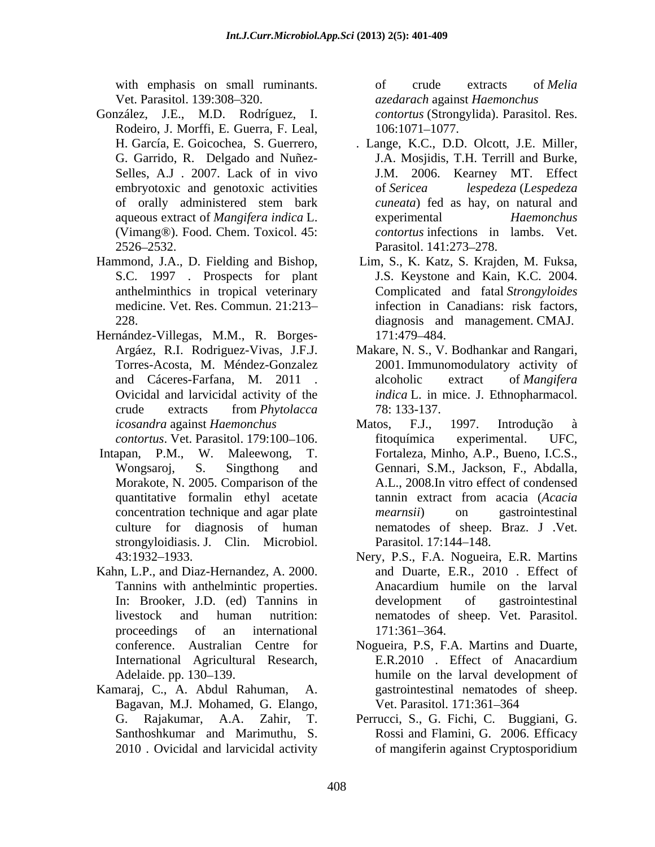with emphasis on small ruminants. The of crude extracts of *Melia* 

- González, J.E., M.D. Rodríguez, I. Rodeiro, J. Morffi, E. Guerra, F. Leal,  $106:1071-1077$ .<br>H. García, E. Goicochea, S. Guerrero, . Lange, K.C., D.D. Olcott, J.E. Miller, (Vimang®). Food. Chem. Toxicol. 45:
- Hammond, J.A., D. Fielding and Bishop, Lim, S., K. Katz, S. Krajden, M. Fuksa,
- Hernández-Villegas, M.M., R. Borges-
- Intapan, P.M., W. Maleewong, T. Fortaleza, Minho, A.P., Bueno, I.C.S., strongyloidiasis. J. Clin. Microbiol. Parasitol. 17:144-148.
- Kahn, L.P., and Diaz-Hernandez, A. 2000.
- Bagavan, M.J. Mohamed, G. Elango,

Vet. Parasitol. 139:308 320. *azedarach* against *Haemonchus* of crude extracts of *Melia contortus* (Strongylida). Parasitol. Res. 106:1071 1077.

- G. Garrido, R. Delgado and Nuñez- J.A. Mosjidis, T.H. Terrill and Burke, Selles, A.J . 2007. Lack of in vivo J.M. 2006. Kearney MT. Effect embryotoxic and genotoxic activities of Sericea lespedeza (Lespedeza of orally administered stem bark cuneata) fed as hay, on natural and aqueous extract of *Mangifera indica* L. 2526–2532. Parasitol. 141:273–278. of *Sericea lespedeza* (*Lespedeza cuneata*) fed as hay, on natural and experimental *Haemonchus contortus* infections in lambs. Vet. Parasitol. 141:273–278.
- S.C. 1997 . Prospects for plant J.S. Keystone and Kain, K.C. 2004. anthelminthics in tropical veterinary Complicated and fatal *Strongyloides* medicine. Vet. Res. Commun. 21:213 infection in Canadians: risk factors, 228. diagnosis and management. CMAJ. 171:479 484.
- Argáez, R.I. Rodriguez-Vivas, J.F.J. Makare, N. S., V. Bodhankar and Rangari, Torres-Acosta, M. Méndez-Gonzalez 2001. Immunomodulatory activity of and Cáceres-Farfana, M. 2011 . alcoholic extract of *Mangifera* Ovicidal and larvicidal activity of the *indica* L. in mice. J. Ethnopharmacol. crude extracts from *Phytolacca* alcoholic extract of *Mangifera*  78: 133-137.
- *icosandra* against *Haemonchus contortus*. Vet. Parasitol. 179:100–106. fitoquímica experimental. UFC, apan, P.M., W. Maleewong, T. Fortaleza, Minho, A.P., Bueno, I.C.S.,<br>Wongsaroj, S. Singthong and Gennari, S.M., Jackson, F., Abdalla, Morakote, N. 2005. Comparison of the A.L., 2008.In vitro effect of condensed quantitative formalin ethyl acetate tannin extract from acacia (Acacia concentration technique and agar plate *mearnsii*) on gastrointestinal culture for diagnosis of human nematodes of sheep. Braz. J .Vet. Matos, F.J., 1997. Introdução à fitoquímica experimental. UFC, tannin extract from acacia (*Acacia mearnsii*) on gastrointestinal Parasitol. 17:144–148.
- 43:1932 1933. Nery, P.S., F.A. Nogueira, E.R. Martins Tannins with anthelmintic properties. In: Brooker, J.D. (ed) Tannins in livestock and human nutrition: proceedings of an international 171:361–364. and Duarte, E.R., 2010 . Effect of Anacardium humile on the larval development of gastrointestinal nematodes of sheep. Vet. Parasitol.<br>171:361–364.
- conference. Australian Centre for Nogueira, P.S, F.A. Martins and Duarte, International Agricultural Research, E.R. 2010 . Effect of Anacardium Adelaide. pp. 130–139. humile on the larval development of Kamaraj, C., A. Abdul Rahuman, A. gastrointestinal nematodes of sheep. E.R.2010 . Effect of Anacardium Vet. Parasitol. 171:361–364
	- G. Rajakumar, A.A. Zahir, T. Perrucci, S., G. Fichi, C. Buggiani, G.<br>Santhoshkumar and Marimuthu, S. Rossi and Flamini, G. 2006. Efficacy<br>2010 . Ovicidal and larvicidal activity of mangiferin against Cryptosporidium Perrucci, S., G. Fichi, C. Buggiani, G. Rossi and Flamini, G. 2006. Efficacy of mangiferin against Cryptosporidium